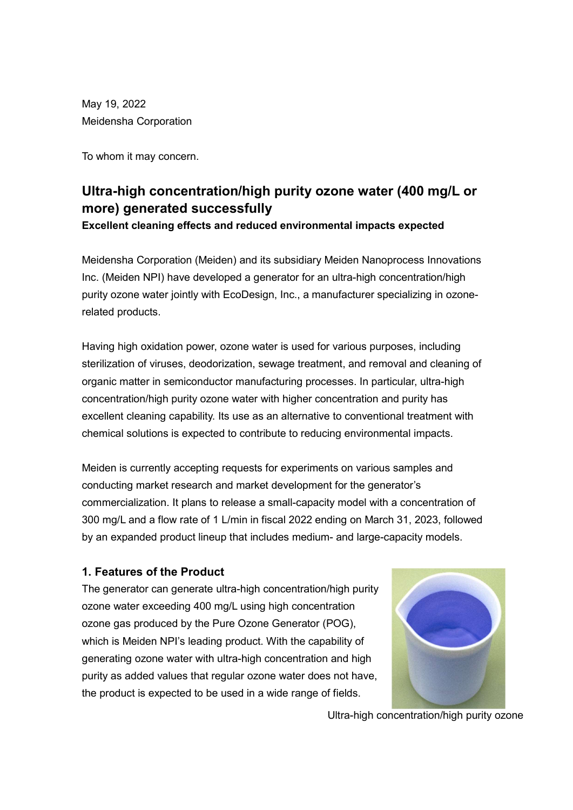May 19, 2022 Meidensha Corporation

To whom it may concern.

# Ultra-high concentration/high purity ozone water (400 mg/L or more) generated successfully

Excellent cleaning effects and reduced environmental impacts expected

Meidensha Corporation (Meiden) and its subsidiary Meiden Nanoprocess Innovations Inc. (Meiden NPI) have developed a generator for an ultra-high concentration/high purity ozone water jointly with EcoDesign, Inc., a manufacturer specializing in ozonerelated products.

Having high oxidation power, ozone water is used for various purposes, including sterilization of viruses, deodorization, sewage treatment, and removal and cleaning of organic matter in semiconductor manufacturing processes. In particular, ultra-high concentration/high purity ozone water with higher concentration and purity has excellent cleaning capability. Its use as an alternative to conventional treatment with chemical solutions is expected to contribute to reducing environmental impacts.

Meiden is currently accepting requests for experiments on various samples and conducting market research and market development for the generator's commercialization. It plans to release a small-capacity model with a concentration of 300 mg/L and a flow rate of 1 L/min in fiscal 2022 ending on March 31, 2023, followed by an expanded product lineup that includes medium- and large-capacity models.

# 1. Features of the Product

The generator can generate ultra-high concentration/high purity ozone water exceeding 400 mg/L using high concentration ozone gas produced by the Pure Ozone Generator (POG), which is Meiden NPI's leading product. With the capability of generating ozone water with ultra-high concentration and high purity as added values that regular ozone water does not have, the product is expected to be used in a wide range of fields.



Ultra-high concentration/high purity ozone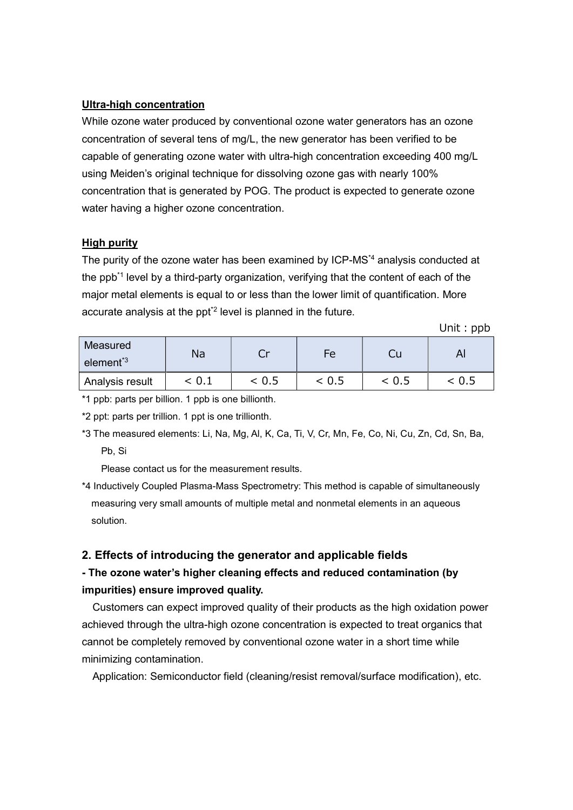#### Ultra-high concentration

While ozone water produced by conventional ozone water generators has an ozone concentration of several tens of mg/L, the new generator has been verified to be capable of generating ozone water with ultra-high concentration exceeding 400 mg/L using Meiden's original technique for dissolving ozone gas with nearly 100% concentration that is generated by POG. The product is expected to generate ozone water having a higher ozone concentration.

#### High purity

The purity of the ozone water has been examined by ICP-MS\*4 analysis conducted at the ppb<sup>\*1</sup> level by a third-party organization, verifying that the content of each of the major metal elements is equal to or less than the lower limit of quantification. More accurate analysis at the ppt<sup>2</sup> level is planned in the future.

Unit: ppb

| Measured<br>element <sup>*3</sup> | Na    |        | Fe    |       |       |
|-----------------------------------|-------|--------|-------|-------|-------|
| Analysis result                   | < 0.1 | ~< 0.5 | < 0.5 | < 0.5 | < 0.5 |

\*1 ppb: parts per billion. 1 ppb is one billionth.

\*2 ppt: parts per trillion. 1 ppt is one trillionth.

\*3 The measured elements: Li, Na, Mg, Al, K, Ca, Ti, V, Cr, Mn, Fe, Co, Ni, Cu, Zn, Cd, Sn, Ba, Pb, Si

Please contact us for the measurement results.

\*4 Inductively Coupled Plasma-Mass Spectrometry: This method is capable of simultaneously measuring very small amounts of multiple metal and nonmetal elements in an aqueous solution.

#### 2. Effects of introducing the generator and applicable fields

# - The ozone water's higher cleaning effects and reduced contamination (by impurities) ensure improved quality.

Customers can expect improved quality of their products as the high oxidation power achieved through the ultra-high ozone concentration is expected to treat organics that cannot be completely removed by conventional ozone water in a short time while minimizing contamination.

Application: Semiconductor field (cleaning/resist removal/surface modification), etc.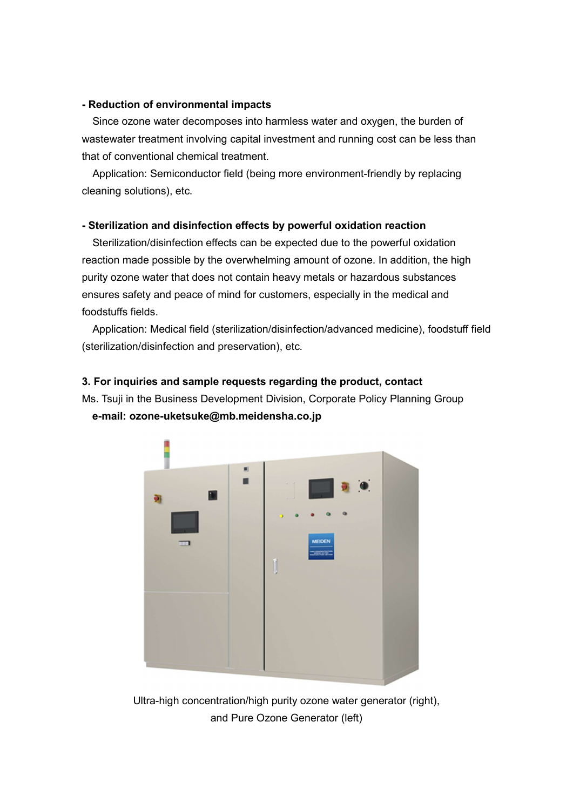#### - Reduction of environmental impacts

Since ozone water decomposes into harmless water and oxygen, the burden of wastewater treatment involving capital investment and running cost can be less than that of conventional chemical treatment.

Application: Semiconductor field (being more environment-friendly by replacing cleaning solutions), etc.

## - Sterilization and disinfection effects by powerful oxidation reaction

Sterilization/disinfection effects can be expected due to the powerful oxidation reaction made possible by the overwhelming amount of ozone. In addition, the high purity ozone water that does not contain heavy metals or hazardous substances ensures safety and peace of mind for customers, especially in the medical and foodstuffs fields.

Application: Medical field (sterilization/disinfection/advanced medicine), foodstuff field (sterilization/disinfection and preservation), etc.

## 3. For inquiries and sample requests regarding the product, contact

Ms. Tsuji in the Business Development Division, Corporate Policy Planning Group e-mail: ozone-uketsuke@mb.meidensha.co.jp



Ultra-high concentration/high purity ozone water generator (right), and Pure Ozone Generator (left)